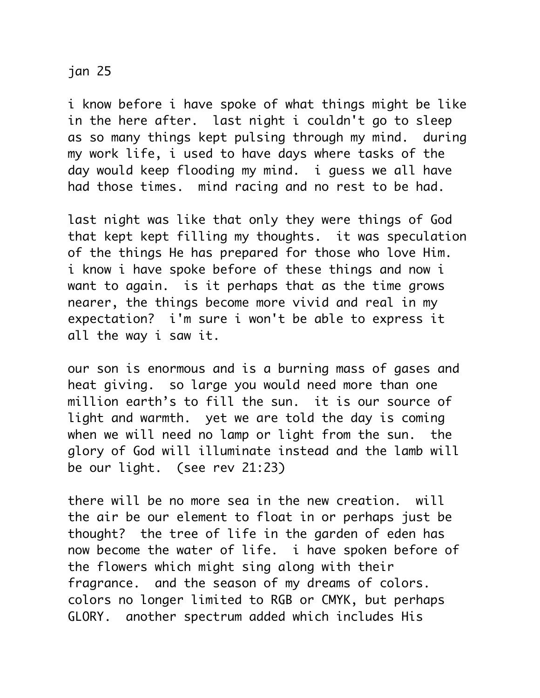## jan 25

i know before i have spoke of what things might be like in the here after. last night i couldn't go to sleep as so many things kept pulsing through my mind. during my work life, i used to have days where tasks of the day would keep flooding my mind. i guess we all have had those times. mind racing and no rest to be had.

last night was like that only they were things of God that kept kept filling my thoughts. it was speculation of the things He has prepared for those who love Him. i know i have spoke before of these things and now i want to again. is it perhaps that as the time grows nearer, the things become more vivid and real in my expectation? i'm sure i won't be able to express it all the way i saw it.

our son is enormous and is a burning mass of gases and heat giving. so large you would need more than one million earth's to fill the sun. it is our source of light and warmth. yet we are told the day is coming when we will need no lamp or light from the sun. the glory of God will illuminate instead and the lamb will be our light. (see rev 21:23)

there will be no more sea in the new creation. will the air be our element to float in or perhaps just be thought? the tree of life in the garden of eden has now become the water of life. i have spoken before of the flowers which might sing along with their fragrance. and the season of my dreams of colors. colors no longer limited to RGB or CMYK, but perhaps GLORY. another spectrum added which includes His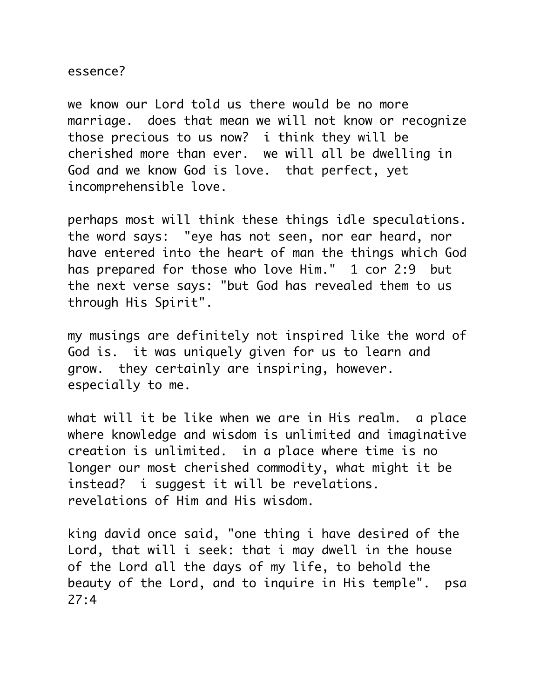## essence?

we know our Lord told us there would be no more marriage. does that mean we will not know or recognize those precious to us now? i think they will be cherished more than ever. we will all be dwelling in God and we know God is love. that perfect, yet incomprehensible love.

perhaps most will think these things idle speculations. the word says: "eye has not seen, nor ear heard, nor have entered into the heart of man the things which God has prepared for those who love Him." 1 cor 2:9 but the next verse says: "but God has revealed them to us through His Spirit".

my musings are definitely not inspired like the word of God is. it was uniquely given for us to learn and grow. they certainly are inspiring, however. especially to me.

what will it be like when we are in His realm. a place where knowledge and wisdom is unlimited and imaginative creation is unlimited. in a place where time is no longer our most cherished commodity, what might it be instead? i suggest it will be revelations. revelations of Him and His wisdom.

king david once said, "one thing i have desired of the Lord, that will i seek: that i may dwell in the house of the Lord all the days of my life, to behold the beauty of the Lord, and to inquire in His temple". psa 27:4